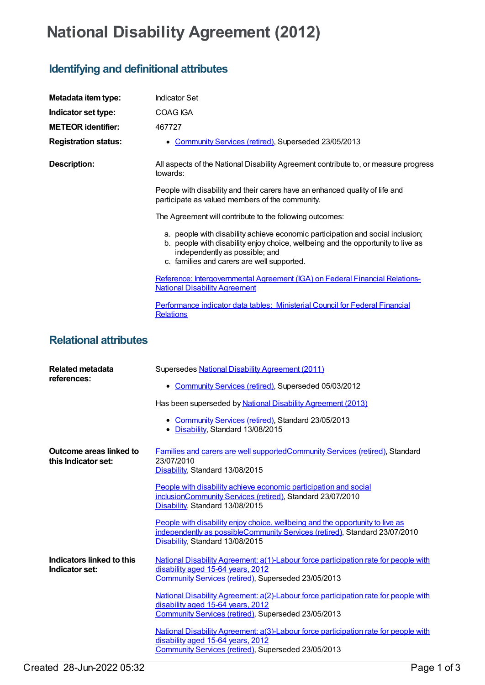## **National Disability Agreement (2012)**

## **Identifying and definitional attributes**

|                                                    | <b>Indicator Set</b>                                                                                                                                                                                                                               |
|----------------------------------------------------|----------------------------------------------------------------------------------------------------------------------------------------------------------------------------------------------------------------------------------------------------|
| Metadata item type:                                |                                                                                                                                                                                                                                                    |
| Indicator set type:                                | <b>COAG IGA</b>                                                                                                                                                                                                                                    |
| <b>METEOR identifier:</b>                          | 467727                                                                                                                                                                                                                                             |
| <b>Registration status:</b>                        | Community Services (retired), Superseded 23/05/2013                                                                                                                                                                                                |
| <b>Description:</b>                                | All aspects of the National Disability Agreement contribute to, or measure progress<br>towards:                                                                                                                                                    |
|                                                    | People with disability and their carers have an enhanced quality of life and<br>participate as valued members of the community.                                                                                                                    |
|                                                    | The Agreement will contribute to the following outcomes:                                                                                                                                                                                           |
|                                                    | a. people with disability achieve economic participation and social inclusion;<br>b. people with disability enjoy choice, wellbeing and the opportunity to live as<br>independently as possible; and<br>c. families and carers are well supported. |
|                                                    | Reference: Intergovernmental Agreement (IGA) on Federal Financial Relations-<br><b>National Disability Agreement</b>                                                                                                                               |
|                                                    | Performance indicator data tables: Ministerial Council for Federal Financial<br><b>Relations</b>                                                                                                                                                   |
| <b>Relational attributes</b>                       |                                                                                                                                                                                                                                                    |
| <b>Related metadata</b><br>references:             | Supersedes National Disability Agreement (2011)                                                                                                                                                                                                    |
|                                                    | • Community Services (retired), Superseded 05/03/2012                                                                                                                                                                                              |
|                                                    | Has been superseded by National Disability Agreement (2013)                                                                                                                                                                                        |
|                                                    | • Community Services (retired), Standard 23/05/2013<br>Disability, Standard 13/08/2015<br>$\bullet$                                                                                                                                                |
| Outcome areas linked to<br>this Indicator set:     | Families and carers are well supported Community Services (retired), Standard<br>23/07/2010<br>Disability, Standard 13/08/2015                                                                                                                     |
|                                                    | People with disability achieve economic participation and social<br>inclusionCommunity Services (retired), Standard 23/07/2010<br>Disability, Standard 13/08/2015                                                                                  |
|                                                    | People with disability enjoy choice, wellbeing and the opportunity to live as<br>independently as possibleCommunity Services (retired), Standard 23/07/2010<br>Disability, Standard 13/08/2015                                                     |
| <b>Indicators linked to this</b><br>Indicator set: | National Disability Agreement: a(1)-Labour force participation rate for people with<br>disability aged 15-64 years, 2012<br>Community Services (retired), Superseded 23/05/2013                                                                    |
|                                                    | National Disability Agreement: a(2)-Labour force participation rate for people with<br>disability aged 15-64 years, 2012<br>Community Services (retired), Superseded 23/05/2013                                                                    |
|                                                    | National Disability Agreement: a(3)-Labour force participation rate for people with<br>disability aged 15-64 years, 2012<br>Community Services (retired), Superseded 23/05/2013                                                                    |